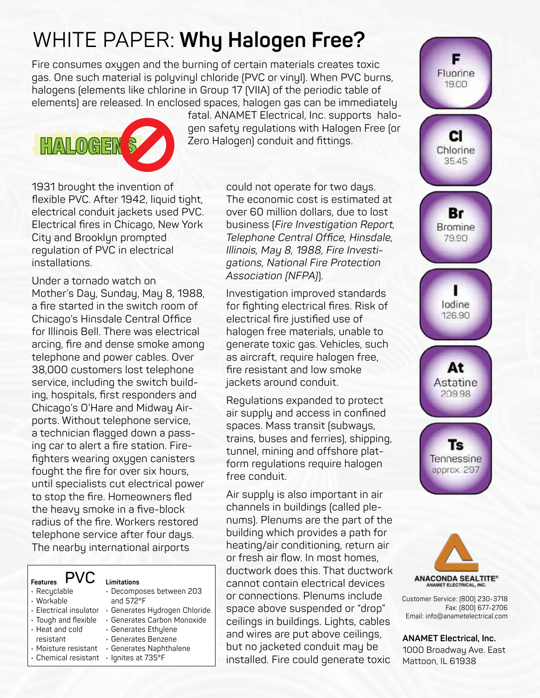# WHITE PAPER: **Why Halogen Free?**

Fire consumes oxygen and the burning of certain materials creates toxic gas. One such material is polyvinyl chloride (PVC or vinyl). When PVC burns, halogens (elements like chlorine in Group 17 (VIIA) of the periodic table of elements) are released. In enclosed spaces, halogen gas can be immediately



fatal. ANAMET Electrical, Inc. supports halogen safety regulations with Halogen Free (or Zero Halogen) conduit and fittings.

1931 brought the invention of flexible PVC. After 1942, liquid tight, electrical conduit jackets used PVC. Electrical fires in Chicago, New York City and Brooklyn prompted regulation of PVC in electrical installations.

Under a tornado watch on Mother's Day, Sunday, May 8, 1988, a fire started in the switch room of Chicago's Hinsdale Central Office for Illinois Bell. There was electrical arcing, fire and dense smoke among telephone and power cables. Over 38,000 customers lost telephone service, including the switch building, hospitals, first responders and Chicago's O'Hare and Midway Airports. Without telephone service, a technician flagged down a passing car to alert a fire station. Firefighters wearing oxygen canisters fought the fire for over six hours, until specialists cut electrical power to stop the fire. Homeowners fled the heavy smoke in a five-block radius of the fire. Workers restored telephone service after four days. The nearby international airports

| <b>Features</b>                                           | Limitations                                    |
|-----------------------------------------------------------|------------------------------------------------|
| · Recyclable<br>· Workable                                | · Decomposes between 203<br>and $572^{\circ}F$ |
| · Electrical insulator                                    | • Generates Hydrogen Chloride                  |
| $\cdot$ Tough and flexible                                | · Generates Carbon Monoxide                    |
| • Heat and cold                                           | · Generates Ethylene<br>• Generates Benzene    |
| resistant<br>· Moisture resistant<br>• Chemical resistant | • Generates Naphthalene<br>· Ignites at 735°F  |

could not operate for two days. The economic cost is estimated at over 60 million dollars, due to lost business (*Fire Investigation Report, Telephone Central Office, Hinsdale, Illinois, May 8, 1988, Fire Investigations, National Fire Protection Association (NFPA)*).

Investigation improved standards for fighting electrical fires. Risk of electrical fire justified use of halogen free materials, unable to generate toxic gas. Vehicles, such as aircraft, require halogen free, fire resistant and low smoke jackets around conduit.

Regulations expanded to protect air supply and access in confined spaces. Mass transit (subways, trains, buses and ferries), shipping, tunnel, mining and offshore platform regulations require halogen free conduit.

Air supply is also important in air channels in buildings (called plenums). Plenums are the part of the building which provides a path for heating/air conditioning, return air or fresh air flow. In most homes, ductwork does this. That ductwork cannot contain electrical devices or connections. Plenums include space above suspended or "drop" ceilings in buildings. Lights, cables and wires are put above ceilings, but no jacketed conduit may be installed. Fire could generate toxic





Customer Service: (800) 230-3718 Fax: (800) 677-2706<br>Email: info@anametelectrical.com

**ANAMET Electrical, Inc.** 1000 Broadway Ave. East Mattoon, IL 61938